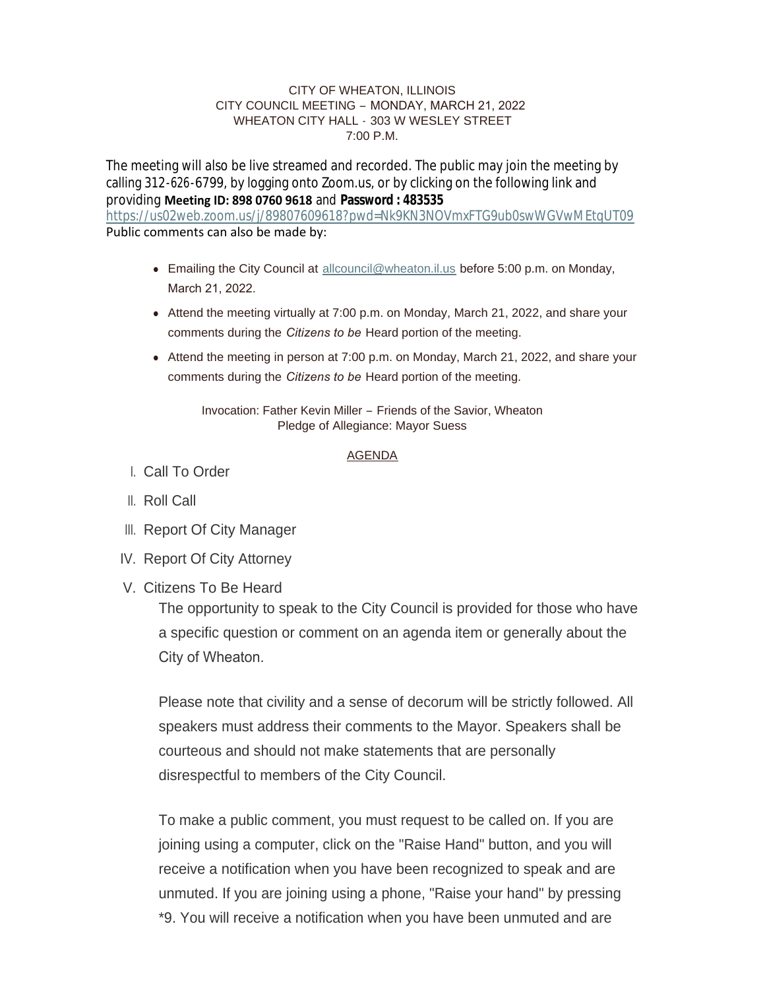### CITY OF WHEATON, ILLINOIS CITY COUNCIL MEETING – MONDAY, MARCH 21, 2022 WHEATON CITY HALL - 303 W WESLEY STREET 7:00 P.M.

The meeting will also be live streamed and recorded. The public may join the meeting by calling 312-626-6799, by logging onto Zoom.us, or by clicking on the following link and providing **Meeting ID: 898 0760 9618** and **Password : 483535** <https://us02web.zoom.us/j/89807609618?pwd=Nk9KN3NOVmxFTG9ub0swWGVwMEtqUT09>

Public comments can also be made by:

- Emailing the City Council at [allcouncil@wheaton.il.us](mailto:allcouncil@wheaton.il.us) before 5:00 p.m. on Monday, March 21, 2022.
- $\bullet$  Attend the meeting virtually at 7:00 p.m. on Monday, March 21, 2022, and share your comments during the *Citizens to be* Heard portion of the meeting.
- Attend the meeting in person at 7:00 p.m. on Monday, March 21, 2022, and share your comments during the *Citizens to be* Heard portion of the meeting.

Invocation: Father Kevin Miller – Friends of the Savior, Wheaton Pledge of Allegiance: Mayor Suess

## AGENDA

- Call To Order I.
- ll. Roll Call
- III. Report Of City Manager
- IV. Report Of City Attorney
- V. Citizens To Be Heard

The opportunity to speak to the City Council is provided for those who have a specific question or comment on an agenda item or generally about the City of Wheaton.

Please note that civility and a sense of decorum will be strictly followed. All speakers must address their comments to the Mayor. Speakers shall be courteous and should not make statements that are personally disrespectful to members of the City Council.

To make a public comment, you must request to be called on. If you are joining using a computer, click on the "Raise Hand" button, and you will receive a notification when you have been recognized to speak and are unmuted. If you are joining using a phone, "Raise your hand" by pressing \*9. You will receive a notification when you have been unmuted and are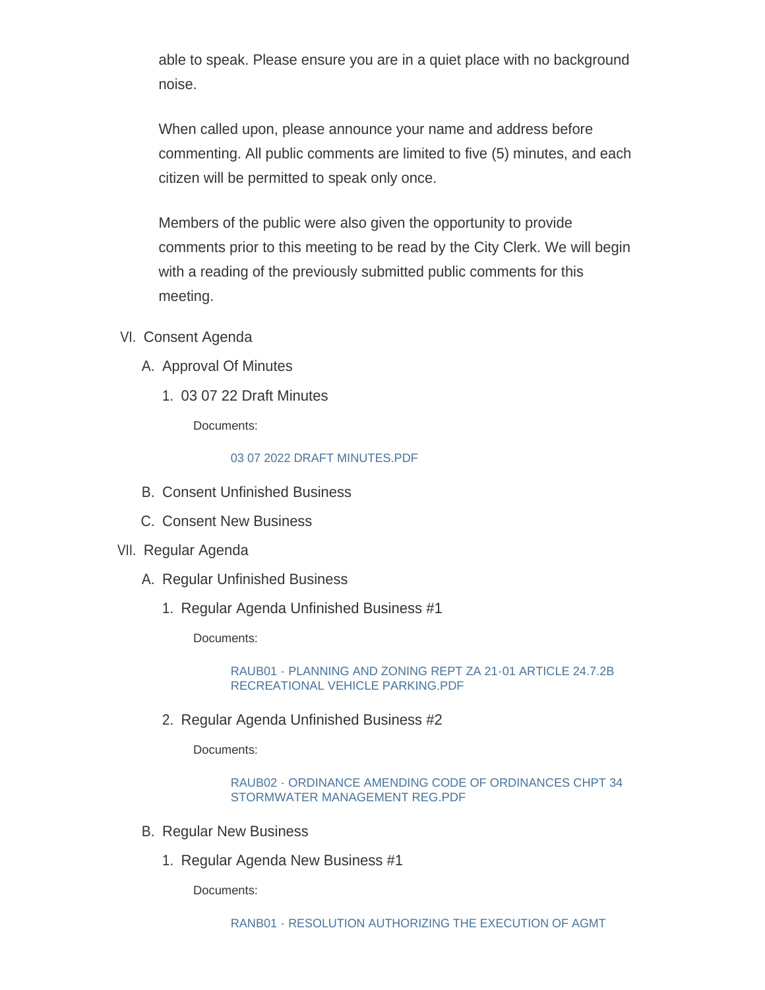able to speak. Please ensure you are in a quiet place with no background noise.

When called upon, please announce your name and address before commenting. All public comments are limited to five (5) minutes, and each citizen will be permitted to speak only once.

Members of the public were also given the opportunity to provide comments prior to this meeting to be read by the City Clerk. We will begin with a reading of the previously submitted public comments for this meeting.

- VI. Consent Agenda
	- A. Approval Of Minutes
		- 03 07 22 Draft Minutes 1.

Documents:

# [03 07 2022 DRAFT MINUTES.PDF](https://www.wheaton.il.us/AgendaCenter/ViewFile/Item/8627?fileID=11123)

- B. Consent Unfinished Business
- C. Consent New Business
- VII. Regular Agenda
	- A. Regular Unfinished Business
		- 1. Regular Agenda Unfinished Business #1

Documents:

[RAUB01 - PLANNING AND ZONING REPT ZA 21-01 ARTICLE 24.7.2B](https://www.wheaton.il.us/AgendaCenter/ViewFile/Item/8632?fileID=11124)  RECREATIONAL VEHICLE PARKING.PDF

2. Regular Agenda Unfinished Business #2

Documents:

[RAUB02 - ORDINANCE AMENDING CODE OF ORDINANCES CHPT 34](https://www.wheaton.il.us/AgendaCenter/ViewFile/Item/8633?fileID=11125)  STORMWATER MANAGEMENT REG.PDF

- **B. Regular New Business** 
	- 1. Regular Agenda New Business #1

Documents: